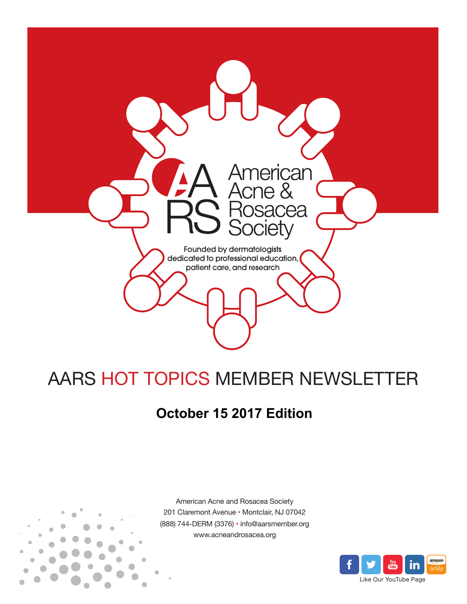

# AARS HOT TOPICS MEMBER NEWSLETTER

## **October 15 2017 Edition**



American Acne and Rosacea Society 201 Claremont Avenue • Montclair, NJ 07042 (888) 744-DERM (3376) • info@aarsmember.org www.acneandrosacea.org

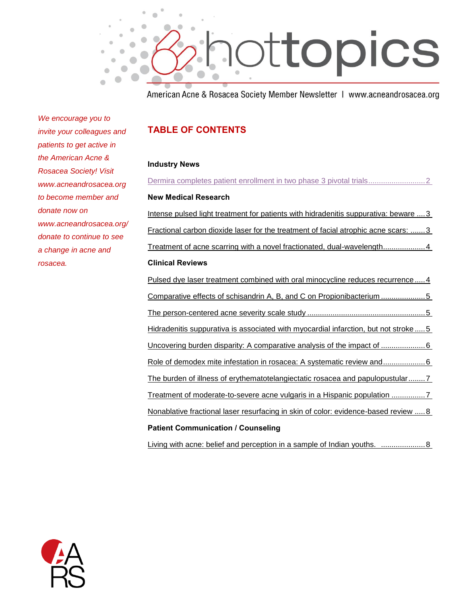

American Acne & Rosacea Society Member Newsletter | www.acneandrosacea.org

*We encourage you to invite your colleagues and patients to get active in the American Acne & Rosacea Society! Visit www.acneandrosacea.org to become member and donate now on www.acneandrosacea.org/ donate to continue to see a change in acne and rosacea.*

#### **TABLE OF CONTENTS**

#### **Industry News**

| <b>New Medical Research</b>                                                                |
|--------------------------------------------------------------------------------------------|
| Intense pulsed light treatment for patients with hidradenitis suppurativa: beware  3       |
| Fractional carbon dioxide laser for the treatment of facial atrophic acne scars: 3         |
|                                                                                            |
| <b>Clinical Reviews</b>                                                                    |
| Pulsed dye laser treatment combined with oral minocycline reduces recurrence4              |
| Comparative effects of schisandrin A, B, and C on Propionibacterium 5                      |
|                                                                                            |
| Hidradenitis suppurativa is associated with myocardial infarction, but not stroke  5       |
|                                                                                            |
|                                                                                            |
| The burden of illness of erythematotelangiectatic rosacea and papulopustular 7             |
| Treatment of moderate-to-severe acne vulgaris in a Hispanic population 7                   |
| <u>Nonablative fractional laser resurfacing in skin of color: evidence-based review  8</u> |
| <b>Patient Communication / Counseling</b>                                                  |

[Living with acne: belief and perception in a sample of Indian youths. .....................8](#page-8-1)

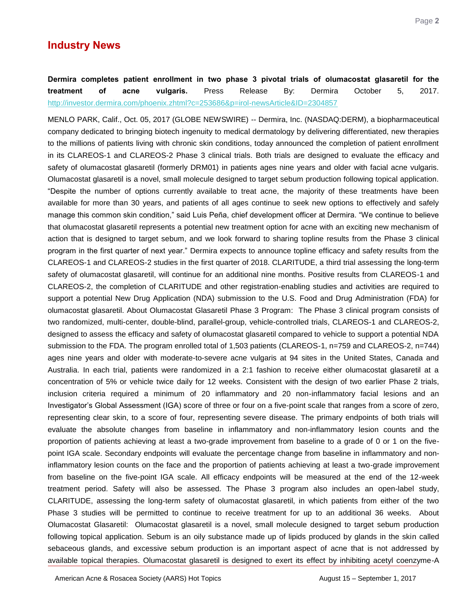### **Industry News**

<span id="page-2-0"></span>**Dermira completes patient enrollment in two phase 3 pivotal trials of olumacostat glasaretil for the treatment of acne vulgaris.** Press Release By: Dermira October 5, 2017. <http://investor.dermira.com/phoenix.zhtml?c=253686&p=irol-newsArticle&ID=2304857>

MENLO PARK, Calif., Oct. 05, 2017 (GLOBE NEWSWIRE) -- Dermira, Inc. (NASDAQ:DERM), a biopharmaceutical company dedicated to bringing biotech ingenuity to medical dermatology by delivering differentiated, new therapies to the millions of patients living with chronic skin conditions, today announced the completion of patient enrollment in its CLAREOS-1 and CLAREOS-2 Phase 3 clinical trials. Both trials are designed to evaluate the efficacy and safety of olumacostat glasaretil (formerly DRM01) in patients ages nine years and older with facial acne vulgaris. Olumacostat glasaretil is a novel, small molecule designed to target sebum production following topical application. "Despite the number of options currently available to treat acne, the majority of these treatments have been available for more than 30 years, and patients of all ages continue to seek new options to effectively and safely manage this common skin condition," said Luis Peña, chief development officer at Dermira. "We continue to believe that olumacostat glasaretil represents a potential new treatment option for acne with an exciting new mechanism of action that is designed to target sebum, and we look forward to sharing topline results from the Phase 3 clinical program in the first quarter of next year." Dermira expects to announce topline efficacy and safety results from the CLAREOS-1 and CLAREOS-2 studies in the first quarter of 2018. CLARITUDE, a third trial assessing the long-term safety of olumacostat glasaretil, will continue for an additional nine months. Positive results from CLAREOS-1 and CLAREOS-2, the completion of CLARITUDE and other registration-enabling studies and activities are required to support a potential New Drug Application (NDA) submission to the U.S. Food and Drug Administration (FDA) for olumacostat glasaretil. About Olumacostat Glasaretil Phase 3 Program: The Phase 3 clinical program consists of two randomized, multi-center, double-blind, parallel-group, vehicle-controlled trials, CLAREOS-1 and CLAREOS-2, designed to assess the efficacy and safety of olumacostat glasaretil compared to vehicle to support a potential NDA submission to the FDA. The program enrolled total of 1,503 patients (CLAREOS-1, n=759 and CLAREOS-2, n=744) ages nine years and older with moderate-to-severe acne vulgaris at 94 sites in the United States, Canada and Australia. In each trial, patients were randomized in a 2:1 fashion to receive either olumacostat glasaretil at a concentration of 5% or vehicle twice daily for 12 weeks. Consistent with the design of two earlier Phase 2 trials, inclusion criteria required a minimum of 20 inflammatory and 20 non-inflammatory facial lesions and an Investigator's Global Assessment (IGA) score of three or four on a five-point scale that ranges from a score of zero, representing clear skin, to a score of four, representing severe disease. The primary endpoints of both trials will evaluate the absolute changes from baseline in inflammatory and non-inflammatory lesion counts and the proportion of patients achieving at least a two-grade improvement from baseline to a grade of 0 or 1 on the fivepoint IGA scale. Secondary endpoints will evaluate the percentage change from baseline in inflammatory and noninflammatory lesion counts on the face and the proportion of patients achieving at least a two-grade improvement from baseline on the five-point IGA scale. All efficacy endpoints will be measured at the end of the 12-week treatment period. Safety will also be assessed. The Phase 3 program also includes an open-label study, CLARITUDE, assessing the long-term safety of olumacostat glasaretil, in which patients from either of the two Phase 3 studies will be permitted to continue to receive treatment for up to an additional 36 weeks. About Olumacostat Glasaretil: Olumacostat glasaretil is a novel, small molecule designed to target sebum production following topical application. Sebum is an oily substance made up of lipids produced by glands in the skin called sebaceous glands, and excessive sebum production is an important aspect of acne that is not addressed by available topical therapies. Olumacostat glasaretil is designed to exert its effect by inhibiting acetyl coenzyme-A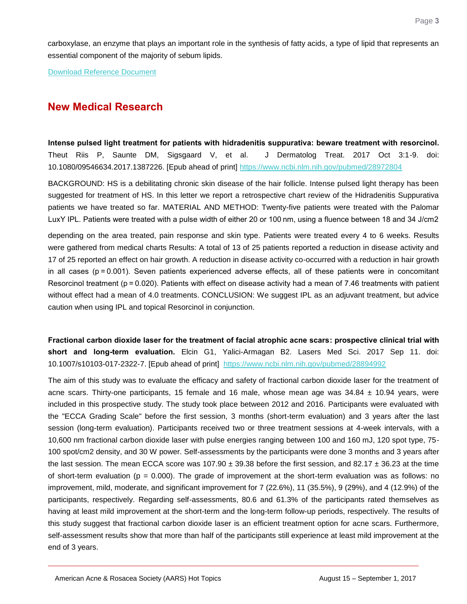carboxylase, an enzyme that plays an important role in the synthesis of fatty acids, a type of lipid that represents an essential component of the majority of sebum lipids.

[Download Reference Document](http://files.constantcontact.com/c2fa20d1101/8aa1fb49-41b3-4de3-a204-78f29ea2c4d6.pdf?ver=1507926478000)

## **New Medical Research**

<span id="page-3-0"></span>**Intense pulsed light treatment for patients with hidradenitis suppurativa: beware treatment with resorcinol.**  Theut Riis P, Saunte DM, Sigsgaard V, et al. J Dermatolog Treat. 2017 Oct 3:1-9. doi: 10.1080/09546634.2017.1387226. [Epub ahead of print]<https://www.ncbi.nlm.nih.gov/pubmed/28972804>

BACKGROUND: HS is a debilitating chronic skin disease of the hair follicle. Intense pulsed light therapy has been suggested for treatment of HS. In this letter we report a retrospective chart review of the Hidradenitis Suppurativa patients we have treated so far. MATERIAL AND METHOD: Twenty-five patients were treated with the Palomar LuxY IPL. Patients were treated with a pulse width of either 20 or 100 nm, using a fluence between 18 and 34 J/cm2

depending on the area treated, pain response and skin type. Patients were treated every 4 to 6 weeks. Results were gathered from medical charts Results: A total of 13 of 25 patients reported a reduction in disease activity and 17 of 25 reported an effect on hair growth. A reduction in disease activity co-occurred with a reduction in hair growth in all cases (p = 0.001). Seven patients experienced adverse effects, all of these patients were in concomitant Resorcinol treatment (p = 0.020). Patients with effect on disease activity had a mean of 7.46 treatments with patient without effect had a mean of 4.0 treatments. CONCLUSION: We suggest IPL as an adjuvant treatment, but advice caution when using IPL and topical Resorcinol in conjunction.

<span id="page-3-1"></span>**Fractional carbon dioxide laser for the treatment of facial atrophic acne scars: prospective clinical trial with short and long-term evaluation.** Elcin G1, Yalici-Armagan B2. Lasers Med Sci. 2017 Sep 11. doi: 10.1007/s10103-017-2322-7. [Epub ahead of print] <https://www.ncbi.nlm.nih.gov/pubmed/28894992>

The aim of this study was to evaluate the efficacy and safety of fractional carbon dioxide laser for the treatment of acne scars. Thirty-one participants, 15 female and 16 male, whose mean age was 34.84 ± 10.94 years, were included in this prospective study. The study took place between 2012 and 2016. Participants were evaluated with the "ECCA Grading Scale" before the first session, 3 months (short-term evaluation) and 3 years after the last session (long-term evaluation). Participants received two or three treatment sessions at 4-week intervals, with a 10,600 nm fractional carbon dioxide laser with pulse energies ranging between 100 and 160 mJ, 120 spot type, 75- 100 spot/cm2 density, and 30 W power. Self-assessments by the participants were done 3 months and 3 years after the last session. The mean ECCA score was 107.90  $\pm$  39.38 before the first session, and 82.17  $\pm$  36.23 at the time of short-term evaluation ( $p = 0.000$ ). The grade of improvement at the short-term evaluation was as follows: no improvement, mild, moderate, and significant improvement for 7 (22.6%), 11 (35.5%), 9 (29%), and 4 (12.9%) of the participants, respectively. Regarding self-assessments, 80.6 and 61.3% of the participants rated themselves as having at least mild improvement at the short-term and the long-term follow-up periods, respectively. The results of this study suggest that fractional carbon dioxide laser is an efficient treatment option for acne scars. Furthermore, self-assessment results show that more than half of the participants still experience at least mild improvement at the end of 3 years.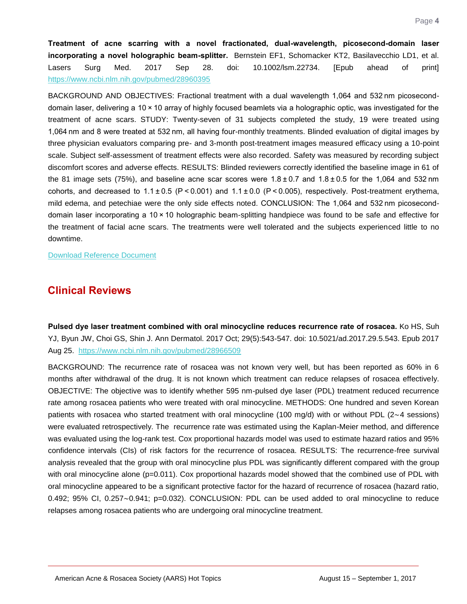<span id="page-4-0"></span>**Treatment of acne scarring with a novel fractionated, dual-wavelength, picosecond-domain laser incorporating a novel holographic beam-splitter.** Bernstein EF1, Schomacker KT2, Basilavecchio LD1, et al. Lasers Surg Med. 2017 Sep 28. doi: 10.1002/lsm.22734. [Epub ahead of print] <https://www.ncbi.nlm.nih.gov/pubmed/28960395>

BACKGROUND AND OBJECTIVES: Fractional treatment with a dual wavelength 1,064 and 532 nm picoseconddomain laser, delivering a 10 × 10 array of highly focused beamlets via a holographic optic, was investigated for the treatment of acne scars. STUDY: Twenty-seven of 31 subjects completed the study, 19 were treated using 1,064 nm and 8 were treated at 532 nm, all having four-monthly treatments. Blinded evaluation of digital images by three physician evaluators comparing pre- and 3-month post-treatment images measured efficacy using a 10-point scale. Subject self-assessment of treatment effects were also recorded. Safety was measured by recording subject discomfort scores and adverse effects. RESULTS: Blinded reviewers correctly identified the baseline image in 61 of the 81 image sets (75%), and baseline acne scar scores were  $1.8\pm0.7$  and  $1.8\pm0.5$  for the 1,064 and 532 nm cohorts, and decreased to  $1.1 \pm 0.5$  (P < 0.001) and  $1.1 \pm 0.0$  (P < 0.005), respectively. Post-treatment erythema, mild edema, and petechiae were the only side effects noted. CONCLUSION: The 1,064 and 532 nm picoseconddomain laser incorporating a 10 × 10 holographic beam-splitting handpiece was found to be safe and effective for the treatment of facial acne scars. The treatments were well tolerated and the subjects experienced little to no downtime.

[Download Reference Document](http://files.constantcontact.com/c2fa20d1101/2b6d9cff-378d-4f46-9907-d94a6679bb3b.pdf?ver=1507926479000)

## **Clinical Reviews**

<span id="page-4-1"></span>**Pulsed dye laser treatment combined with oral minocycline reduces recurrence rate of rosacea.** Ko HS, Suh YJ, Byun JW, Choi GS, Shin J. Ann Dermatol. 2017 Oct; 29(5):543-547. doi: 10.5021/ad.2017.29.5.543. Epub 2017 Aug 25. <https://www.ncbi.nlm.nih.gov/pubmed/28966509>

BACKGROUND: The recurrence rate of rosacea was not known very well, but has been reported as 60% in 6 months after withdrawal of the drug. It is not known which treatment can reduce relapses of rosacea effectively. OBJECTIVE: The objective was to identify whether 595 nm-pulsed dye laser (PDL) treatment reduced recurrence rate among rosacea patients who were treated with oral minocycline. METHODS: One hundred and seven Korean patients with rosacea who started treatment with oral minocycline (100 mg/d) with or without PDL (2∼4 sessions) were evaluated retrospectively. The recurrence rate was estimated using the Kaplan-Meier method, and difference was evaluated using the log-rank test. Cox proportional hazards model was used to estimate hazard ratios and 95% confidence intervals (CIs) of risk factors for the recurrence of rosacea. RESULTS: The recurrence-free survival analysis revealed that the group with oral minocycline plus PDL was significantly different compared with the group with oral minocycline alone (p=0.011). Cox proportional hazards model showed that the combined use of PDL with oral minocycline appeared to be a significant protective factor for the hazard of recurrence of rosacea (hazard ratio, 0.492; 95% CI, 0.257∼0.941; p=0.032). CONCLUSION: PDL can be used added to oral minocycline to reduce relapses among rosacea patients who are undergoing oral minocycline treatment.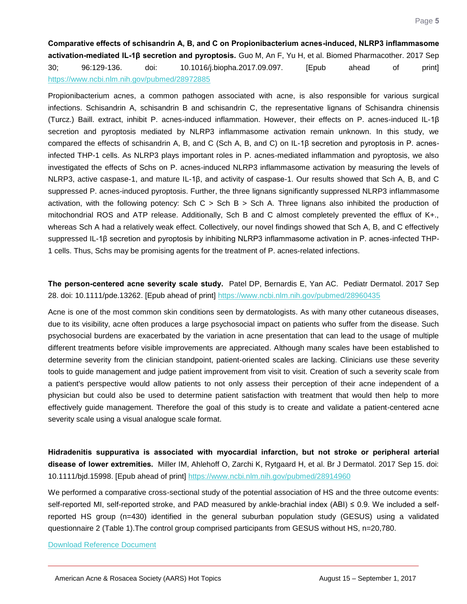<span id="page-5-0"></span>**Comparative effects of schisandrin A, B, and C on Propionibacterium acnes-induced, NLRP3 inflammasome activation-mediated IL-1β secretion and pyroptosis.** Guo M, An F, Yu H, et al. Biomed Pharmacother. 2017 Sep 30; 96:129-136. doi: 10.1016/j.biopha.2017.09.097. [Epub ahead of print] <https://www.ncbi.nlm.nih.gov/pubmed/28972885>

Propionibacterium acnes, a common pathogen associated with acne, is also responsible for various surgical infections. Schisandrin A, schisandrin B and schisandrin C, the representative lignans of Schisandra chinensis (Turcz.) Baill. extract, inhibit P. acnes-induced inflammation. However, their effects on P. acnes-induced IL-1β secretion and pyroptosis mediated by NLRP3 inflammasome activation remain unknown. In this study, we compared the effects of schisandrin A, B, and C (Sch A, B, and C) on IL-1β secretion and pyroptosis in P. acnesinfected THP-1 cells. As NLRP3 plays important roles in P. acnes-mediated inflammation and pyroptosis, we also investigated the effects of Schs on P. acnes-induced NLRP3 inflammasome activation by measuring the levels of NLRP3, active caspase-1, and mature IL-1β, and activity of caspase-1. Our results showed that Sch A, B, and C suppressed P. acnes-induced pyroptosis. Further, the three lignans significantly suppressed NLRP3 inflammasome activation, with the following potency: Sch C > Sch B > Sch A. Three lignans also inhibited the production of mitochondrial ROS and ATP release. Additionally, Sch B and C almost completely prevented the efflux of K+., whereas Sch A had a relatively weak effect. Collectively, our novel findings showed that Sch A, B, and C effectively suppressed IL-1β secretion and pyroptosis by inhibiting NLRP3 inflammasome activation in P. acnes-infected THP-1 cells. Thus, Schs may be promising agents for the treatment of P. acnes-related infections.

#### <span id="page-5-1"></span>**The person-centered acne severity scale study.** Patel DP, Bernardis E, Yan AC. Pediatr Dermatol. 2017 Sep 28. doi: 10.1111/pde.13262. [Epub ahead of print]<https://www.ncbi.nlm.nih.gov/pubmed/28960435>

Acne is one of the most common skin conditions seen by dermatologists. As with many other cutaneous diseases, due to its visibility, acne often produces a large psychosocial impact on patients who suffer from the disease. Such psychosocial burdens are exacerbated by the variation in acne presentation that can lead to the usage of multiple different treatments before visible improvements are appreciated. Although many scales have been established to determine severity from the clinician standpoint, patient-oriented scales are lacking. Clinicians use these severity tools to guide management and judge patient improvement from visit to visit. Creation of such a severity scale from a patient's perspective would allow patients to not only assess their perception of their acne independent of a physician but could also be used to determine patient satisfaction with treatment that would then help to more effectively guide management. Therefore the goal of this study is to create and validate a patient-centered acne severity scale using a visual analogue scale format.

<span id="page-5-2"></span>**Hidradenitis suppurativa is associated with myocardial infarction, but not stroke or peripheral arterial disease of lower extremities.** Miller IM, Ahlehoff O, Zarchi K, Rytgaard H, et al. Br J Dermatol. 2017 Sep 15. doi: 10.1111/bjd.15998. [Epub ahead of print]<https://www.ncbi.nlm.nih.gov/pubmed/28914960>

We performed a comparative cross-sectional study of the potential association of HS and the three outcome events: self-reported MI, self-reported stroke, and PAD measured by ankle-brachial index (ABI) ≤ 0.9. We included a selfreported HS group (n=430) identified in the general suburban population study (GESUS) using a validated questionnaire 2 (Table 1).The control group comprised participants from GESUS without HS, n=20,780.

[Download Reference Document](http://files.constantcontact.com/c2fa20d1101/97991148-8d50-46b3-87c1-0aa339239838.pdf?ver=1507926476000)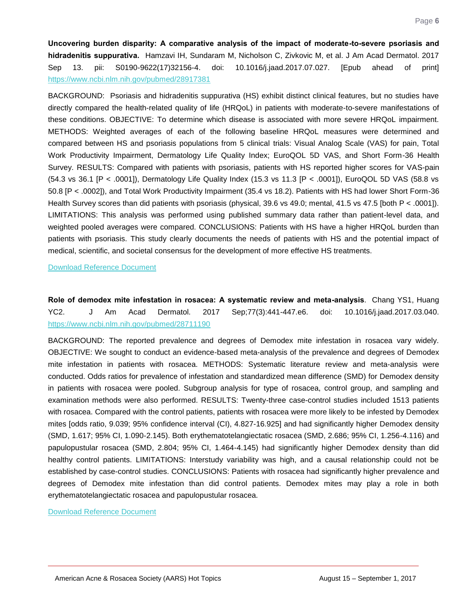<span id="page-6-0"></span>**Uncovering burden disparity: A comparative analysis of the impact of moderate-to-severe psoriasis and hidradenitis suppurativa.** Hamzavi IH, Sundaram M, Nicholson C, Zivkovic M, et al. J Am Acad Dermatol. 2017 Sep 13. pii: S0190-9622(17)32156-4. doi: 10.1016/j.jaad.2017.07.027. [Epub ahead of print] <https://www.ncbi.nlm.nih.gov/pubmed/28917381>

BACKGROUND: Psoriasis and hidradenitis suppurativa (HS) exhibit distinct clinical features, but no studies have directly compared the health-related quality of life (HRQoL) in patients with moderate-to-severe manifestations of these conditions. OBJECTIVE: To determine which disease is associated with more severe HRQoL impairment. METHODS: Weighted averages of each of the following baseline HRQoL measures were determined and compared between HS and psoriasis populations from 5 clinical trials: Visual Analog Scale (VAS) for pain, Total Work Productivity Impairment, Dermatology Life Quality Index; EuroQOL 5D VAS, and Short Form-36 Health Survey. RESULTS: Compared with patients with psoriasis, patients with HS reported higher scores for VAS-pain (54.3 vs 36.1 [P < .0001]), Dermatology Life Quality Index (15.3 vs 11.3 [P < .0001]), EuroQOL 5D VAS (58.8 vs 50.8 [P < .0002]), and Total Work Productivity Impairment (35.4 vs 18.2). Patients with HS had lower Short Form-36 Health Survey scores than did patients with psoriasis (physical, 39.6 vs 49.0; mental, 41.5 vs 47.5 [both P < .0001]). LIMITATIONS: This analysis was performed using published summary data rather than patient-level data, and weighted pooled averages were compared. CONCLUSIONS: Patients with HS have a higher HRQoL burden than patients with psoriasis. This study clearly documents the needs of patients with HS and the potential impact of medical, scientific, and societal consensus for the development of more effective HS treatments.

[Download Reference Document](http://files.constantcontact.com/c2fa20d1101/8c2e0a35-8370-486e-9962-eeb89b2fb7e3.pdf?ver=1507926482000)

<span id="page-6-1"></span>**Role of demodex mite infestation in rosacea: A systematic review and meta-analysis**. Chang YS1, Huang YC2. J Am Acad Dermatol. 2017 Sep;77(3):441-447.e6. doi: 10.1016/j.jaad.2017.03.040. <https://www.ncbi.nlm.nih.gov/pubmed/28711190>

BACKGROUND: The reported prevalence and degrees of Demodex mite infestation in rosacea vary widely. OBJECTIVE: We sought to conduct an evidence-based meta-analysis of the prevalence and degrees of Demodex mite infestation in patients with rosacea. METHODS: Systematic literature review and meta-analysis were conducted. Odds ratios for prevalence of infestation and standardized mean difference (SMD) for Demodex density in patients with rosacea were pooled. Subgroup analysis for type of rosacea, control group, and sampling and examination methods were also performed. RESULTS: Twenty-three case-control studies included 1513 patients with rosacea. Compared with the control patients, patients with rosacea were more likely to be infested by Demodex mites [odds ratio, 9.039; 95% confidence interval (CI), 4.827-16.925] and had significantly higher Demodex density (SMD, 1.617; 95% CI, 1.090-2.145). Both erythematotelangiectatic rosacea (SMD, 2.686; 95% CI, 1.256-4.116) and papulopustular rosacea (SMD, 2.804; 95% CI, 1.464-4.145) had significantly higher Demodex density than did healthy control patients. LIMITATIONS: Interstudy variability was high, and a causal relationship could not be established by case-control studies. CONCLUSIONS: Patients with rosacea had significantly higher prevalence and degrees of Demodex mite infestation than did control patients. Demodex mites may play a role in both erythematotelangiectatic rosacea and papulopustular rosacea.

[Download Reference Document](http://files.constantcontact.com/c2fa20d1101/a836768c-a7bd-465f-92f7-793a7c48727d.pdf?ver=1507926481000)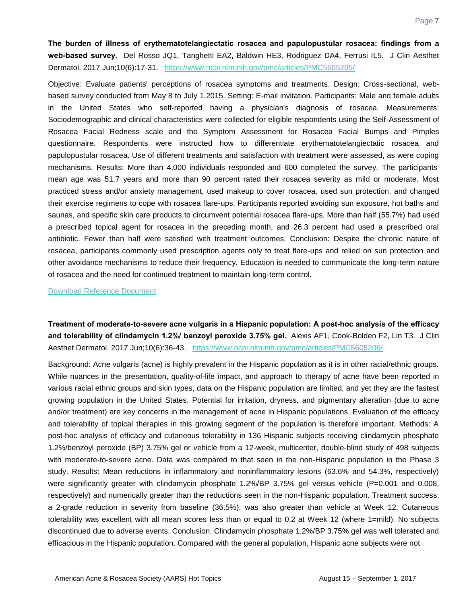<span id="page-7-0"></span>**The burden of illness of erythematotelangiectatic rosacea and papulopustular rosacea: findings from a web-based survey.** Del Rosso JQ1, Tanghetti EA2, Baldwin HE3, Rodriguez DA4, Ferrusi IL5. J Clin Aesthet Dermatol. 2017 Jun;10(6):17-31. <https://www.ncbi.nlm.nih.gov/pmc/articles/PMC5605205/>

Objective: Evaluate patients' perceptions of rosacea symptoms and treatments. Design: Cross-sectional, webbased survey conducted from May 8 to July 1,2015. Setting: E-mail invitation. Participants: Male and female adults in the United States who self-reported having a physician's diagnosis of rosacea. Measurements: Sociodemographic and clinical characteristics were collected for eligible respondents using the Self-Assessment of Rosacea Facial Redness scale and the Symptom Assessment for Rosacea Facial Bumps and Pimples questionnaire. Respondents were instructed how to differentiate erythematotelangiectatic rosacea and papulopustular rosacea. Use of different treatments and satisfaction with treatment were assessed, as were coping mechanisms. Results: More than 4,000 individuals responded and 600 completed the survey. The participants' mean age was 51.7 years and more than 90 percent rated their rosacea severity as mild or moderate. Most practiced stress and/or anxiety management, used makeup to cover rosacea, used sun protection, and changed their exercise regimens to cope with rosacea flare-ups. Participants reported avoiding sun exposure, hot baths and saunas, and specific skin care products to circumvent potential rosacea flare-ups. More than half (55.7%) had used a prescribed topical agent for rosacea in the preceding month, and 26.3 percent had used a prescribed oral antibiotic. Fewer than half were satisfied with treatment outcomes. Conclusion: Despite the chronic nature of rosacea, participants commonly used prescription agents only to treat flare-ups and relied on sun protection and other avoidance mechanisms to reduce their frequency. Education is needed to communicate the long-term nature of rosacea and the need for continued treatment to maintain long-term control.

[Download Reference Document](http://files.constantcontact.com/c2fa20d1101/2b25490f-3714-40a5-bdf4-c34b90316c15.pdf?ver=1507926481000)

<span id="page-7-1"></span>**Treatment of moderate-to-severe acne vulgaris in a Hispanic population: A post-hoc analysis of the efficacy and tolerability of clindamycin 1.2%/ benzoyl peroxide 3.75% gel.** Alexis AF1, Cook-Bolden F2, Lin T3. J Clin Aesthet Dermatol. 2017 Jun;10(6):36-43. <https://www.ncbi.nlm.nih.gov/pmc/articles/PMC5605206/>

Background: Acne vulgaris (acne) is highly prevalent in the Hispanic population as it is in other racial/ethnic groups. While nuances in the presentation, quality-of-life impact, and approach to therapy of acne have been reported in various racial ethnic groups and skin types, data on the Hispanic population are limited, and yet they are the fastest growing population in the United States. Potential for irritation, dryness, and pigmentary alteration (due to acne and/or treatment) are key concerns in the management of acne in Hispanic populations. Evaluation of the efficacy and tolerability of topical therapies in this growing segment of the population is therefore important. Methods: A post-hoc analysis of efficacy and cutaneous tolerability in 136 Hispanic subjects receiving clindamycin phosphate 1.2%/benzoyl peroxide (BP) 3.75% gel or vehicle from a 12-week, multicenter, double-blind study of 498 subjects with moderate-to-severe acne. Data was compared to that seen in the non-Hispanic population in the Phase 3 study. Results: Mean reductions in inflammatory and noninflammatory lesions (63.6% and 54.3%, respectively) were significantly greater with clindamycin phosphate 1.2%/BP 3.75% gel versus vehicle (P=0.001 and 0.008, respectively) and numerically greater than the reductions seen in the non-Hispanic population. Treatment success, a 2-grade reduction in severity from baseline (36.5%), was also greater than vehicle at Week 12. Cutaneous tolerability was excellent with all mean scores less than or equal to 0.2 at Week 12 (where 1=mild). No subjects discontinued due to adverse events. Conclusion: Clindamycin phosphate 1.2%/BP 3.75% gel was well tolerated and efficacious in the Hispanic population. Compared with the general population, Hispanic acne subjects were not